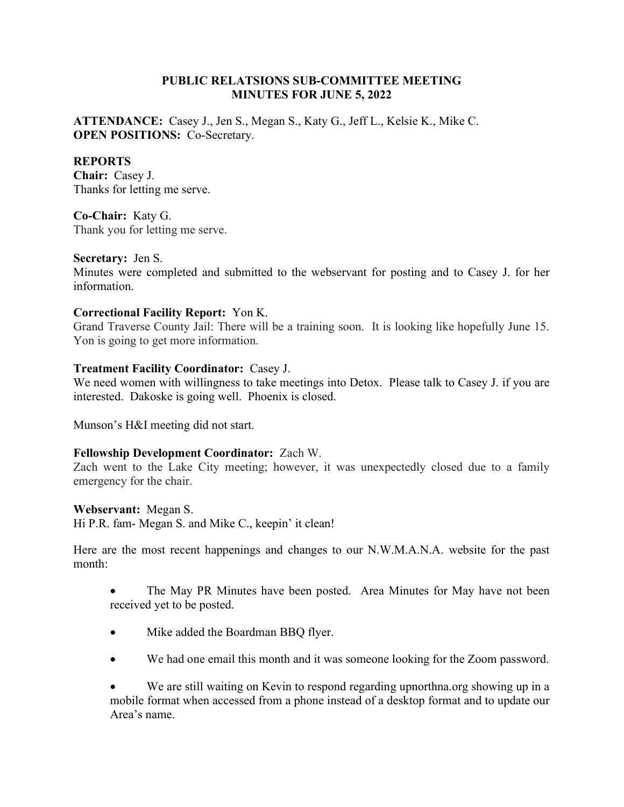## PUBLIC RELATSIONS SUB-COMMITTEE MEETING MINUTES FOR JUNE 5, 2022

ATTENDANCE: Casey J., Jen S., Megan S., Katy G., Jeff L., Kelsie K., Mike C. OPEN POSITIONS: Co-Secretary.

## REPORTS

Chair: Casey J. Thanks for letting me serve.

Co-Chair: Katy G. Thank you for letting me serve.

### Secretary: Jen S.

Minutes were completed and submitted to the webservant for posting and to Casey J. for her information.

### Correctional Facility Report: Yon K.

Grand Traverse County Jail: There will be a training soon. It is looking like hopefully June 15. Yon is going to get more information.

### Treatment Facility Coordinator: Casey J.

We need women with willingness to take meetings into Detox. Please talk to Casey J. if you are interested. Dakoske is going well. Phoenix is closed.

Munson's H&I meeting did not start.

### Fellowship Development Coordinator: Zach W.

Zach went to the Lake City meeting; however, it was unexpectedly closed due to a family emergency for the chair.

### Webservant: Megan S.

Hi P.R. fam- Megan S. and Mike C., keepin' it clean!

Here are the most recent happenings and changes to our N.W.M.A.N.A. website for the past month:

- The May PR Minutes have been posted. Area Minutes for May have not been received yet to be posted.
- Mike added the Boardman BBQ flyer.
- We had one email this month and it was someone looking for the Zoom password.

 We are still waiting on Kevin to respond regarding upnorthna.org showing up in a mobile format when accessed from a phone instead of a desktop format and to update our Area's name.